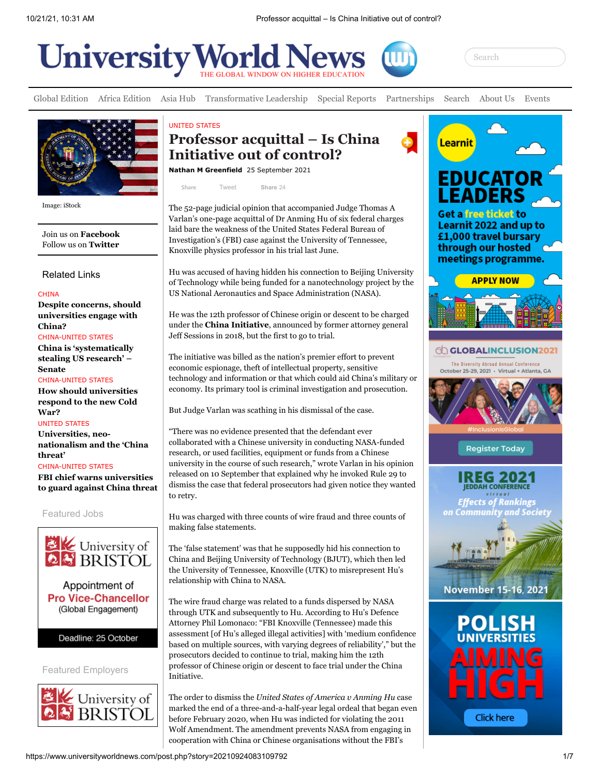



[Global Edition](https://www.universityworldnews.com/page.php?page=UW_Main) [Africa Edition](https://www.universityworldnews.com/page.php?page=Africa_Edition) [Asia Hub](https://www.universityworldnews.com/page.php?page=Asia_Hub) [Transformative Leadership](https://www.universityworldnews.com/page.php?page=Trans_Lead) [Special Reports](https://www.universityworldnews.com/sp-report.php) [Partnerships](https://www.universityworldnews.com/page.php?page=sponsor-partner-profservices) [Search](https://www.universityworldnews.com/fullsearch.php) [About Us](https://www.universityworldnews.com/page.php?page=About_Us) [Events](https://www.universityworldnews.com/page.php?page=HE_Events)



Image: iStock

Join us on **[Facebook](https://www.facebook.com/UniversityWorldNews/)** Follow us on **[Twitter](https://twitter.com/uniworldnews)**

Related Links

**CHINA** 

**[Despite concerns, should](https://www.universityworldnews.com/post.php?story=20210430105646452) universities engage with China?** CHINA-UNITED STATES

**[China is 'systematically](https://www.universityworldnews.com/post.php?story=20191122145800927) stealing US research' – Senate** CHINA-UNITED STATES

**[How should universities](https://www.universityworldnews.com/post.php?story=20191112103413758) respond to the new Cold War?**

UNITED STATES **Universities, neo[nationalism and the 'China](https://www.universityworldnews.com/post.php?story=20191105074754722) threat'**

CHINA-UNITED STATES **FBI chief warns universities [to guard against China threat](https://www.universityworldnews.com/post.php?story=20190503145355529)**

Featured Jobs





## UNITED STATES **Professor acquittal – Is China Initiative out of control?**

**[Nathan M Greenfield](https://www.universityworldnews.com/fullsearch.php?mode=search&writer=Nathan+M+Greenfield)** 25 September 2021

[Tweet](https://twitter.com/intent/tweet?original_referer=https%3A%2F%2Fwww.universityworldnews.com%2F&ref_src=twsrc%5Etfw%7Ctwcamp%5Ebuttonembed%7Ctwterm%5Eshare%7Ctwgr%5E&text=Professor%20acquittal%20%E2%80%93%20Is%20China%20Initiative%20out%20of%20control%3F&url=https%3A%2F%2Fwww.universityworldnews.com%2Fpost.php%3Fstory%3D20210924083109792) **[Share](https://www.facebook.com/sharer/sharer.php?kid_directed_site=0&u=https%3A%2F%2Fwww.universityworldnews.com%2Fpost.php%3Fstory%3D20210924083109792&display=popup&ref=plugin&src=share_button)** 24 **Share**

The 52-page judicial opinion that accompanied Judge Thomas A Varlan's one-page acquittal of Dr Anming Hu of six federal charges laid bare the weakness of the United States Federal Bureau of Investigation's (FBI) case against the University of Tennessee, Knoxville physics professor in his trial last June.

Hu was accused of having hidden his connection to Beijing University of Technology while being funded for a nanotechnology project by the US National Aeronautics and Space Administration (NASA).

He was the 12th professor of Chinese origin or descent to be charged under the **[China Initiative](https://www.justice.gov/opa/pr/china-initiative-year-review-2019-20)**, announced by former attorney general Jeff Sessions in 2018, but the first to go to trial.

The initiative was billed as the nation's premier effort to prevent economic espionage, theft of intellectual property, sensitive technology and information or that which could aid China's military or economy. Its primary tool is criminal investigation and prosecution.

But Judge Varlan was scathing in his dismissal of the case.

"There was no evidence presented that the defendant ever collaborated with a Chinese university in conducting NASA-funded research, or used facilities, equipment or funds from a Chinese university in the course of such research," wrote Varlan in his opinion released on 10 September that explained why he invoked Rule 29 to dismiss the case that federal prosecutors had given notice they wanted to retry.

Hu was charged with three counts of wire fraud and three counts of making false statements.

The 'false statement' was that he supposedly hid his connection to China and Beijing University of Technology (BJUT), which then led the University of Tennessee, Knoxville (UTK) to misrepresent Hu's relationship with China to NASA.

The wire fraud charge was related to a funds dispersed by NASA through UTK and subsequently to Hu. According to Hu's Defence Attorney Phil Lomonaco: "FBI Knoxville (Tennessee) made this assessment [of Hu's alleged illegal activities] with 'medium confidence based on multiple sources, with varying degrees of reliability'," but the prosecutors decided to continue to trial, making him the 12th professor of Chinese origin or descent to face trial under the China Initiative.

The order to dismiss the *United States of America v Anming Hu* case marked the end of a three-and-a-half-year legal ordeal that began even before February 2020, when Hu was indicted for violating the 2011 Wolf Amendment. The amendment prevents NASA from engaging in cooperation with China or Chinese organisations without the FBI's

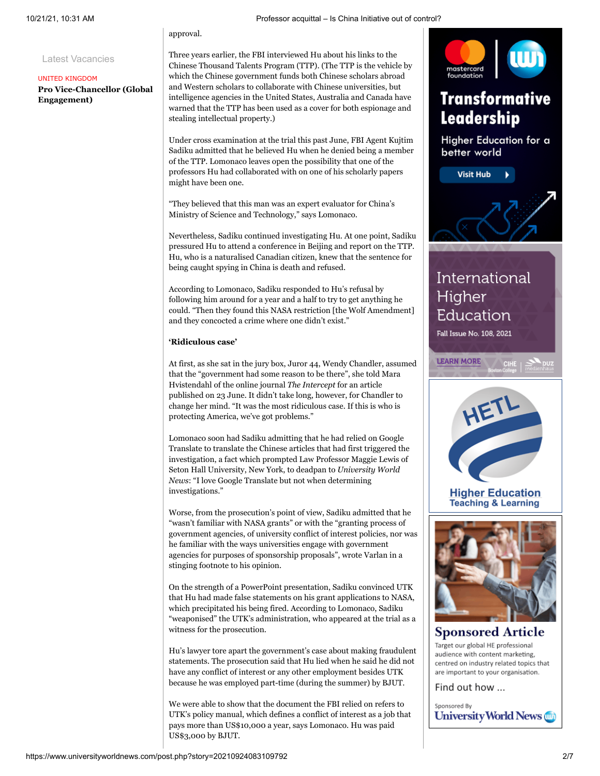Latest Vacancies

#### UNITED KINGDOM

**[Pro Vice-Chancellor \(Global](https://www.universityworldnews.com/page.php?page=University_Bristol_PVC_Job) Engagement)**

approval.

Three years earlier, the FBI interviewed Hu about his links to the Chinese Thousand Talents Program (TTP). (The TTP is the vehicle by which the Chinese government funds both Chinese scholars abroad and Western scholars to collaborate with Chinese universities, but intelligence agencies in the United States, Australia and Canada have warned that the TTP has been used as a cover for both espionage and stealing intellectual property.)

Under cross examination at the trial this past June, FBI Agent Kujtim Sadiku admitted that he believed Hu when he denied being a member of the TTP. Lomonaco leaves open the possibility that one of the professors Hu had collaborated with on one of his scholarly papers might have been one.

"They believed that this man was an expert evaluator for China's Ministry of Science and Technology," says Lomonaco.

Nevertheless, Sadiku continued investigating Hu. At one point, Sadiku pressured Hu to attend a conference in Beijing and report on the TTP. Hu, who is a naturalised Canadian citizen, knew that the sentence for being caught spying in China is death and refused.

According to Lomonaco, Sadiku responded to Hu's refusal by following him around for a year and a half to try to get anything he could. "Then they found this NASA restriction [the Wolf Amendment] and they concocted a crime where one didn't exist."

## **'Ridiculous case'**

At first, as she sat in the jury box, Juror 44, Wendy Chandler, assumed that the "government had some reason to be there", she told Mara Hvistendahl of the online journal *The Intercept* for an article published on 23 June. It didn't take long, however, for Chandler to change her mind. "It was the most ridiculous case. If this is who is protecting America, we've got problems."

Lomonaco soon had Sadiku admitting that he had relied on Google Translate to translate the Chinese articles that had first triggered the investigation, a fact which prompted Law Professor Maggie Lewis of Seton Hall University, New York, to deadpan to *University World News*: "I love Google Translate but not when determining investigations."

Worse, from the prosecution's point of view, Sadiku admitted that he "wasn't familiar with NASA grants" or with the "granting process of government agencies, of university conflict of interest policies, nor was he familiar with the ways universities engage with government agencies for purposes of sponsorship proposals", wrote Varlan in a stinging footnote to his opinion.

On the strength of a PowerPoint presentation, Sadiku convinced UTK that Hu had made false statements on his grant applications to NASA, which precipitated his being fired. According to Lomonaco, Sadiku "weaponised" the UTK's administration, who appeared at the trial as a witness for the prosecution.

Hu's lawyer tore apart the government's case about making fraudulent statements. The prosecution said that Hu lied when he said he did not have any conflict of interest or any other employment besides UTK because he was employed part-time (during the summer) by BJUT.

We were able to show that the document the FBI relied on refers to UTK's policy manual, which defines a conflict of interest as a job that pays more than US\$10,000 a year, says Lomonaco. Hu was paid US\$3,000 by BJUT.



# **Transformative** Leadership

Higher Education for a better world



## International Higher Education

Fall Issue No. 108, 2021





**Higher Education Teaching & Learning** 



## **Sponsored Article** Target our global HE professional

audience with content marketing, centred on industry related topics that are important to your organisation.

Find out how ...

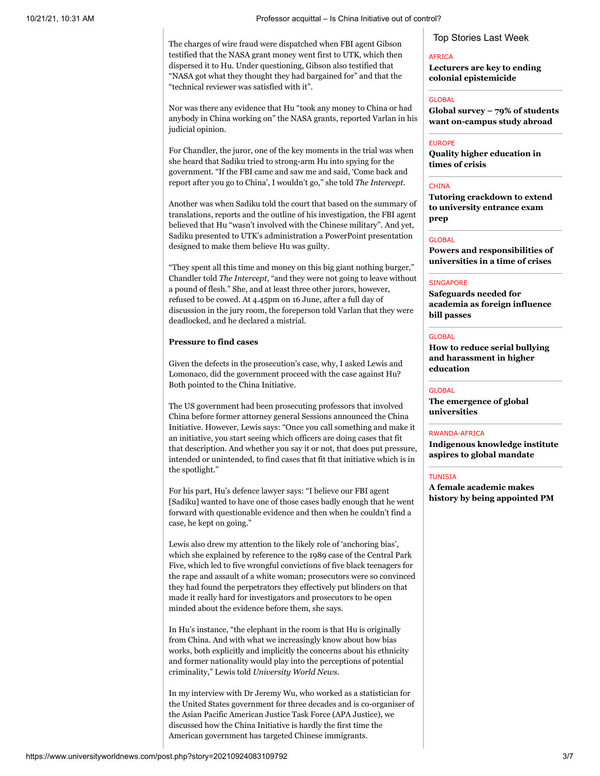The charges of wire fraud were dispatched when FBI agent Gibson testified that the NASA grant money went first to UTK, which then dispersed it to Hu. Under questioning, Gibson also testified that "NASA got what they thought they had bargained for" and that the "technical reviewer was satisfied with it".

Nor was there any evidence that Hu "took any money to China or had anybody in China working on" the NASA grants, reported Varlan in his judicial opinion.

For Chandler, the juror, one of the key moments in the trial was when she heard that Sadiku tried to strong-arm Hu into spying for the government. "If the FBI came and saw me and said, 'Come back and report after you go to China', I wouldn't go," she told *The Intercept*.

Another was when Sadiku told the court that based on the summary of translations, reports and the outline of his investigation, the FBI agent believed that Hu "wasn't involved with the Chinese military". And yet, Sadiku presented to UTK's administration a PowerPoint presentation designed to make them believe Hu was guilty.

"They spent all this time and money on this big giant nothing burger," Chandler told *The Intercept*, "and they were not going to leave without a pound of flesh." She, and at least three other jurors, however, refused to be cowed. At 4.45pm on 16 June, after a full day of discussion in the jury room, the foreperson told Varlan that they were deadlocked, and he declared a mistrial.

#### **Pressure to find cases**

Given the defects in the prosecution's case, why, I asked Lewis and Lomonaco, did the government proceed with the case against Hu? Both pointed to the China Initiative.

The US government had been prosecuting professors that involved China before former attorney general Sessions announced the China Initiative. However, Lewis says: "Once you call something and make it an initiative, you start seeing which officers are doing cases that fit that description. And whether you say it or not, that does put pressure, intended or unintended, to find cases that fit that initiative which is in the spotlight."

For his part, Hu's defence lawyer says: "I believe our FBI agent [Sadiku] wanted to have one of those cases badly enough that he went forward with questionable evidence and then when he couldn't find a case, he kept on going."

Lewis also drew my attention to the likely role of 'anchoring bias', which she explained by reference to the 1989 case of the Central Park Five, which led to five wrongful convictions of five black teenagers for the rape and assault of a white woman; prosecutors were so convinced they had found the perpetrators they effectively put blinders on that made it really hard for investigators and prosecutors to be open minded about the evidence before them, she says.

In Hu's instance, "the elephant in the room is that Hu is originally from China. And with what we increasingly know about how bias works, both explicitly and implicitly the concerns about his ethnicity and former nationality would play into the perceptions of potential criminality," Lewis told *University World News*.

In my interview with Dr Jeremy Wu, who worked as a statistician for the United States government for three decades and is co-organiser of the Asian Pacific American Justice Task Force (APA Justice), we discussed how the China Initiative is hardly the first time the American government has targeted Chinese immigrants.

Top Stories Last Week

#### AFRICA

**[Lecturers are key to ending](https://www.universityworldnews.com/post.php?story=20211006114502190) colonial epistemicide**

#### **GLOBAL**

**[Global survey – 79% of students](https://www.universityworldnews.com/post.php?story=20211007100858333) want on-campus study abroad**

#### EUROPE

**[Quality higher education in](https://www.universityworldnews.com/post.php?story=20211007112036138) times of crisis**

#### **CHINA**

**[Tutoring crackdown to extend](https://www.universityworldnews.com/post.php?story=20211006090303977) to university entrance exam prep**

#### GLOBAL

**[Powers and responsibilities of](https://www.universityworldnews.com/post.php?story=20211004164728509) universities in a time of crises**

#### **SINGAPORE**

**Safeguards needed for [academia as foreign influence](https://www.universityworldnews.com/post.php?story=20211007004259776) bill passes**

#### **GLOBAL**

**[How to reduce serial bullying](https://www.universityworldnews.com/post.php?story=20211005160255530) and harassment in higher education**

#### **GLOBAL**

**[The emergence of global](https://www.universityworldnews.com/post.php?story=20211008094925464) universities**

#### RWANDA-AFRICA

**[Indigenous knowledge institute](https://www.universityworldnews.com/post.php?story=2021100614485245) aspires to global mandate**

#### TUNISIA

**A female academic makes [history by being appointed PM](https://www.universityworldnews.com/post.php?story=20211005122338635)**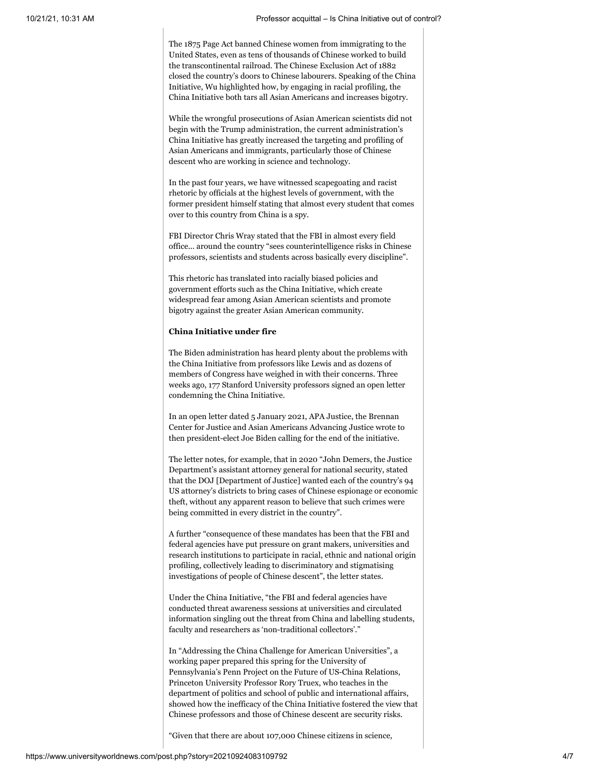The 1875 Page Act banned Chinese women from immigrating to the United States, even as tens of thousands of Chinese worked to build the transcontinental railroad. The Chinese Exclusion Act of 1882 closed the country's doors to Chinese labourers. Speaking of the China Initiative, Wu highlighted how, by engaging in racial profiling, the China Initiative both tars all Asian Americans and increases bigotry.

While the wrongful prosecutions of Asian American scientists did not begin with the Trump administration, the current administration's China Initiative has greatly increased the targeting and profiling of Asian Americans and immigrants, particularly those of Chinese descent who are working in science and technology.

In the past four years, we have witnessed scapegoating and racist rhetoric by officials at the highest levels of government, with the former president himself stating that almost every student that comes over to this country from China is a spy.

FBI Director Chris Wray stated that the FBI in almost every field office... around the country "sees counterintelligence risks in Chinese professors, scientists and students across basically every discipline".

This rhetoric has translated into racially biased policies and government efforts such as the China Initiative, which create widespread fear among Asian American scientists and promote bigotry against the greater Asian American community.

#### **China Initiative under fire**

The Biden administration has heard plenty about the problems with the China Initiative from professors like Lewis and as dozens of members of Congress have weighed in with their concerns. Three weeks ago, 177 Stanford University professors signed an open letter condemning the China Initiative.

In an open letter dated 5 January 2021, APA Justice, the Brennan Center for Justice and Asian Americans Advancing Justice wrote to then president-elect Joe Biden calling for the end of the initiative.

The letter notes, for example, that in 2020 "John Demers, the Justice Department's assistant attorney general for national security, stated that the DOJ [Department of Justice] wanted each of the country's 94 US attorney's districts to bring cases of Chinese espionage or economic theft, without any apparent reason to believe that such crimes were being committed in every district in the country".

A further "consequence of these mandates has been that the FBI and federal agencies have put pressure on grant makers, universities and research institutions to participate in racial, ethnic and national origin profiling, collectively leading to discriminatory and stigmatising investigations of people of Chinese descent", the letter states.

Under the China Initiative, "the FBI and federal agencies have conducted threat awareness sessions at universities and circulated information singling out the threat from China and labelling students, faculty and researchers as 'non-traditional collectors'."

In "Addressing the China Challenge for American Universities", a working paper prepared this spring for the University of Pennsylvania's Penn Project on the Future of US-China Relations, Princeton University Professor Rory Truex, who teaches in the department of politics and school of public and international affairs, showed how the inefficacy of the China Initiative fostered the view that Chinese professors and those of Chinese descent are security risks.

"Given that there are about 107,000 Chinese citizens in science,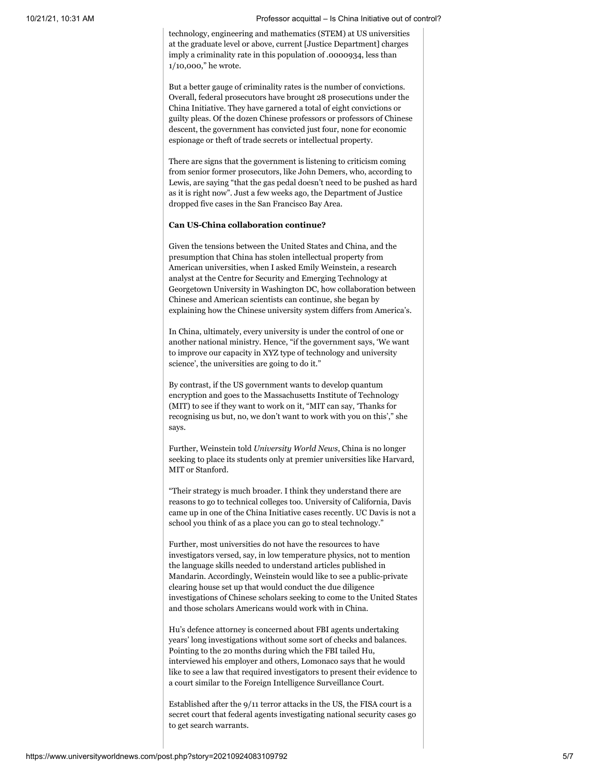technology, engineering and mathematics (STEM) at US universities at the graduate level or above, current [Justice Department] charges imply a criminality rate in this population of .0000934, less than 1/10,000," he wrote.

But a better gauge of criminality rates is the number of convictions. Overall, federal prosecutors have brought 28 prosecutions under the China Initiative. They have garnered a total of eight convictions or guilty pleas. Of the dozen Chinese professors or professors of Chinese descent, the government has convicted just four, none for economic espionage or theft of trade secrets or intellectual property.

There are signs that the government is listening to criticism coming from senior former prosecutors, like John Demers, who, according to Lewis, are saying "that the gas pedal doesn't need to be pushed as hard as it is right now". Just a few weeks ago, the Department of Justice dropped five cases in the San Francisco Bay Area.

### **Can US-China collaboration continue?**

Given the tensions between the United States and China, and the presumption that China has stolen intellectual property from American universities, when I asked Emily Weinstein, a research analyst at the Centre for Security and Emerging Technology at Georgetown University in Washington DC, how collaboration between Chinese and American scientists can continue, she began by explaining how the Chinese university system differs from America's.

In China, ultimately, every university is under the control of one or another national ministry. Hence, "if the government says, 'We want to improve our capacity in XYZ type of technology and university science', the universities are going to do it."

By contrast, if the US government wants to develop quantum encryption and goes to the Massachusetts Institute of Technology (MIT) to see if they want to work on it, "MIT can say, 'Thanks for recognising us but, no, we don't want to work with you on this'," she says.

Further, Weinstein told *University World News*, China is no longer seeking to place its students only at premier universities like Harvard, MIT or Stanford.

"Their strategy is much broader. I think they understand there are reasons to go to technical colleges too. University of California, Davis came up in one of the China Initiative cases recently. UC Davis is not a school you think of as a place you can go to steal technology."

Further, most universities do not have the resources to have investigators versed, say, in low temperature physics, not to mention the language skills needed to understand articles published in Mandarin. Accordingly, Weinstein would like to see a public-private clearing house set up that would conduct the due diligence investigations of Chinese scholars seeking to come to the United States and those scholars Americans would work with in China.

Hu's defence attorney is concerned about FBI agents undertaking years' long investigations without some sort of checks and balances. Pointing to the 20 months during which the FBI tailed Hu, interviewed his employer and others, Lomonaco says that he would like to see a law that required investigators to present their evidence to a court similar to the Foreign Intelligence Surveillance Court.

Established after the 9/11 terror attacks in the US, the FISA court is a secret court that federal agents investigating national security cases go to get search warrants.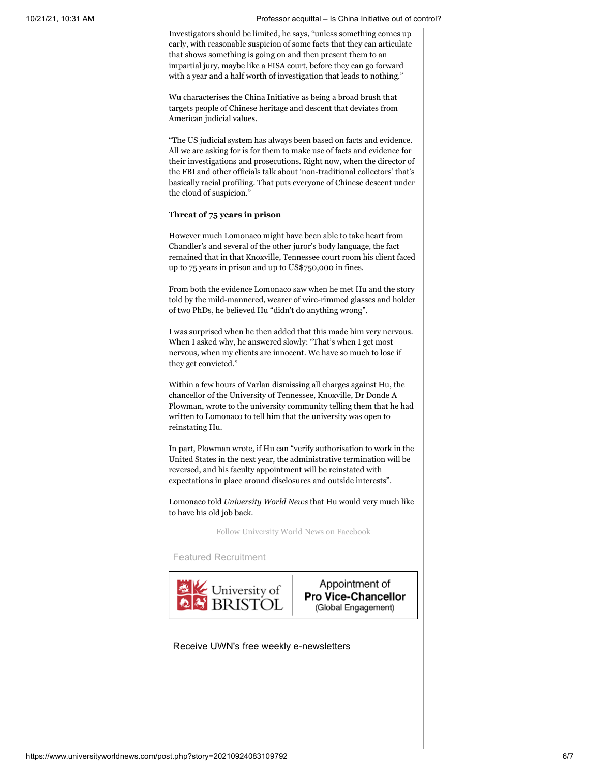Investigators should be limited, he says, "unless something comes up early, with reasonable suspicion of some facts that they can articulate that shows something is going on and then present them to an impartial jury, maybe like a FISA court, before they can go forward with a year and a half worth of investigation that leads to nothing."

Wu characterises the China Initiative as being a broad brush that targets people of Chinese heritage and descent that deviates from American judicial values.

"The US judicial system has always been based on facts and evidence. All we are asking for is for them to make use of facts and evidence for their investigations and prosecutions. Right now, when the director of the FBI and other officials talk about 'non-traditional collectors' that's basically racial profiling. That puts everyone of Chinese descent under the cloud of suspicion."

## **Threat of 75 years in prison**

However much Lomonaco might have been able to take heart from Chandler's and several of the other juror's body language, the fact remained that in that Knoxville, Tennessee court room his client faced up to 75 years in prison and up to US\$750,000 in fines.

From both the evidence Lomonaco saw when he met Hu and the story told by the mild-mannered, wearer of wire-rimmed glasses and holder of two PhDs, he believed Hu "didn't do anything wrong".

I was surprised when he then added that this made him very nervous. When I asked why, he answered slowly: "That's when I get most nervous, when my clients are innocent. We have so much to lose if they get convicted."

Within a few hours of Varlan dismissing all charges against Hu, the chancellor of the University of Tennessee, Knoxville, Dr Donde A Plowman, wrote to the university community telling them that he had written to Lomonaco to tell him that the university was open to reinstating Hu.

In part, Plowman wrote, if Hu can "verify authorisation to work in the United States in the next year, the administrative termination will be reversed, and his faculty appointment will be reinstated with expectations in place around disclosures and outside interests".

Lomonaco told *University World News* that Hu would very much like to have his old job back.

[Follow University World News on Facebook](https://www.universityworldnews.com/fb/)

Featured Recruitment



Appointment of **Pro Vice-Chancellor** (Global Engagement)

Receive UWN's free weekly e-newsletters